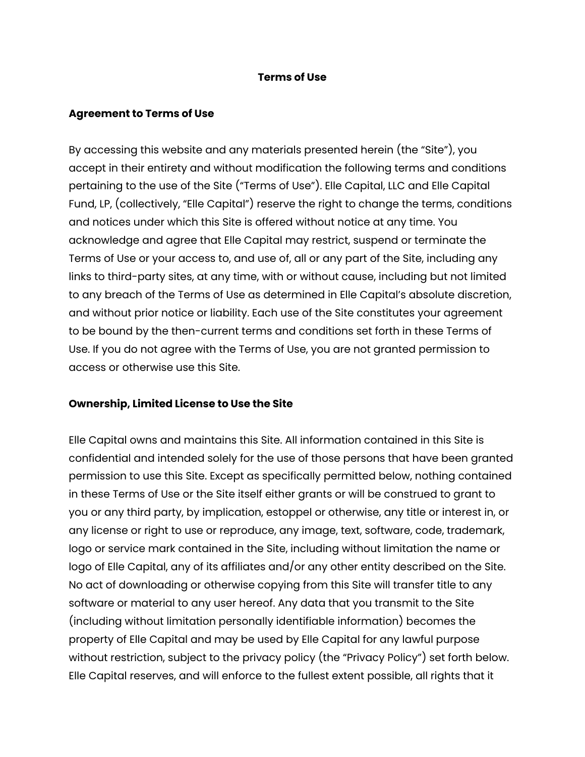## **Terms of Use**

## **Agreement to Terms of Use**

By accessing this website and any materials presented herein (the "Site"), you accept in their entirety and without modification the following terms and conditions pertaining to the use of the Site ("Terms of Use"). Elle Capital, LLC and Elle Capital Fund, LP, (collectively, "Elle Capital") reserve the right to change the terms, conditions and notices under which this Site is offered without notice at any time. You acknowledge and agree that Elle Capital may restrict, suspend or terminate the Terms of Use or your access to, and use of, all or any part of the Site, including any links to third-party sites, at any time, with or without cause, including but not limited to any breach of the Terms of Use as determined in Elle Capital's absolute discretion, and without prior notice or liability. Each use of the Site constitutes your agreement to be bound by the then-current terms and conditions set forth in these Terms of Use. If you do not agree with the Terms of Use, you are not granted permission to access or otherwise use this Site.

#### **Ownership, Limited License to Use the Site**

Elle Capital owns and maintains this Site. All information contained in this Site is confidential and intended solely for the use of those persons that have been granted permission to use this Site. Except as specifically permitted below, nothing contained in these Terms of Use or the Site itself either grants or will be construed to grant to you or any third party, by implication, estoppel or otherwise, any title or interest in, or any license or right to use or reproduce, any image, text, software, code, trademark, logo or service mark contained in the Site, including without limitation the name or logo of Elle Capital, any of its affiliates and/or any other entity described on the Site. No act of downloading or otherwise copying from this Site will transfer title to any software or material to any user hereof. Any data that you transmit to the Site (including without limitation personally identifiable information) becomes the property of Elle Capital and may be used by Elle Capital for any lawful purpose without restriction, subject to the privacy policy (the "Privacy Policy") set forth below. Elle Capital reserves, and will enforce to the fullest extent possible, all rights that it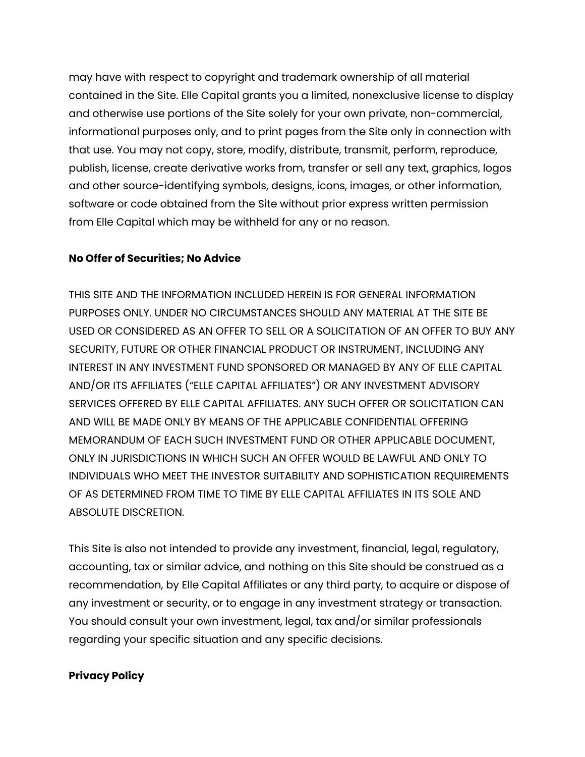may have with respect to copyright and trademark ownership of all material contained in the Site. Elle Capital grants you a limited, nonexclusive license to display and otherwise use portions of the Site solely for your own private, non-commercial, informational purposes only, and to print pages from the Site only in connection with that use. You may not copy, store, modify, distribute, transmit, perform, reproduce, publish, license, create derivative works from, transfer or sell any text, graphics, logos and other source-identifying symbols, designs, icons, images, or other information, software or code obtained from the Site without prior express written permission from Elle Capital which may be withheld for any or no reason.

## **No Offer of Securities; No Advice**

THIS SITE AND THE INFORMATION INCLUDED HEREIN IS FOR GENERAL INFORMATION PURPOSES ONLY. UNDER NO CIRCUMSTANCES SHOULD ANY MATERIAL AT THE SITE BE USED OR CONSIDERED AS AN OFFER TO SELL OR A SOLICITATION OF AN OFFER TO BUY ANY SECURITY, FUTURE OR OTHER FINANCIAL PRODUCT OR INSTRUMENT, INCLUDING ANY INTEREST IN ANY INVESTMENT FUND SPONSORED OR MANAGED BY ANY OF ELLE CAPITAL AND/OR ITS AFFILIATES ("ELLE CAPITAL AFFILIATES") OR ANY INVESTMENT ADVISORY SERVICES OFFERED BY ELLE CAPITAL AFFILIATES. ANY SUCH OFFER OR SOLICITATION CAN AND WILL BE MADE ONLY BY MEANS OF THE APPLICABLE CONFIDENTIAL OFFERING MEMORANDUM OF EACH SUCH INVESTMENT FUND OR OTHER APPLICABLE DOCUMENT, ONLY IN JURISDICTIONS IN WHICH SUCH AN OFFER WOULD BE LAWFUL AND ONLY TO INDIVIDUALS WHO MEET THE INVESTOR SUITABILITY AND SOPHISTICATION REQUIREMENTS OF AS DETERMINED FROM TIME TO TIME BY ELLE CAPITAL AFFILIATES IN ITS SOLE AND ABSOLUTE DISCRETION.

This Site is also not intended to provide any investment, financial, legal, regulatory, accounting, tax or similar advice, and nothing on this Site should be construed as a recommendation, by Elle Capital Affiliates or any third party, to acquire or dispose of any investment or security, or to engage in any investment strategy or transaction. You should consult your own investment, legal, tax and/or similar professionals regarding your specific situation and any specific decisions.

#### **Privacy Policy**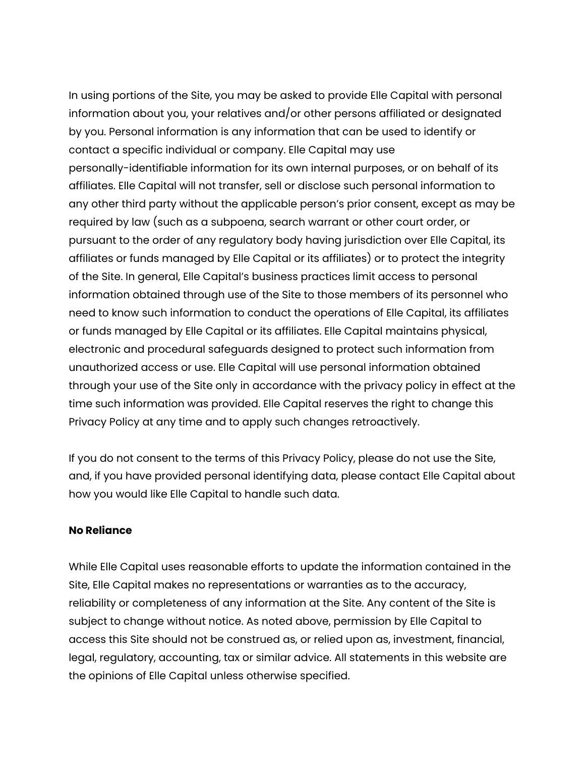In using portions of the Site, you may be asked to provide Elle Capital with personal information about you, your relatives and/or other persons affiliated or designated by you. Personal information is any information that can be used to identify or contact a specific individual or company. Elle Capital may use personally-identifiable information for its own internal purposes, or on behalf of its affiliates. Elle Capital will not transfer, sell or disclose such personal information to any other third party without the applicable person's prior consent, except as may be required by law (such as a subpoena, search warrant or other court order, or pursuant to the order of any regulatory body having jurisdiction over Elle Capital, its affiliates or funds managed by Elle Capital or its affiliates) or to protect the integrity of the Site. In general, Elle Capital's business practices limit access to personal information obtained through use of the Site to those members of its personnel who need to know such information to conduct the operations of Elle Capital, its affiliates or funds managed by Elle Capital or its affiliates. Elle Capital maintains physical, electronic and procedural safeguards designed to protect such information from unauthorized access or use. Elle Capital will use personal information obtained through your use of the Site only in accordance with the privacy policy in effect at the time such information was provided. Elle Capital reserves the right to change this Privacy Policy at any time and to apply such changes retroactively.

If you do not consent to the terms of this Privacy Policy, please do not use the Site, and, if you have provided personal identifying data, please contact Elle Capital about how you would like Elle Capital to handle such data.

## **No Reliance**

While Elle Capital uses reasonable efforts to update the information contained in the Site, Elle Capital makes no representations or warranties as to the accuracy, reliability or completeness of any information at the Site. Any content of the Site is subject to change without notice. As noted above, permission by Elle Capital to access this Site should not be construed as, or relied upon as, investment, financial, legal, regulatory, accounting, tax or similar advice. All statements in this website are the opinions of Elle Capital unless otherwise specified.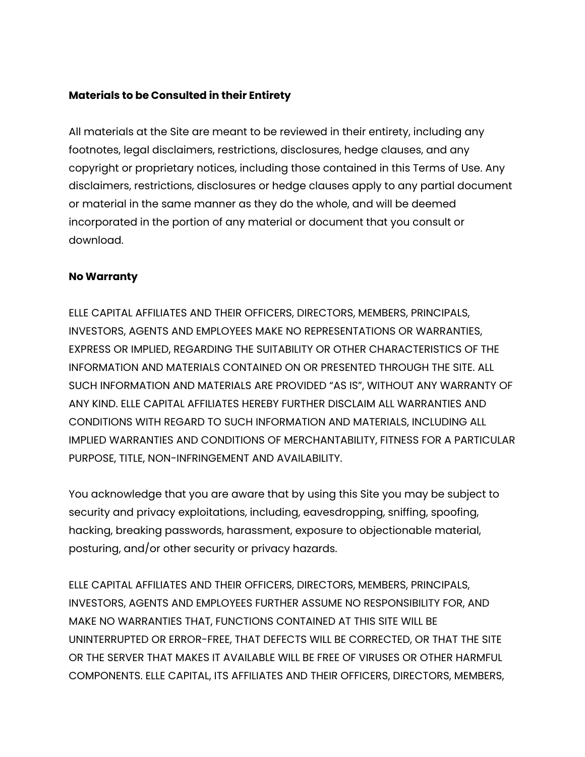## **Materials to be Consulted in their Entirety**

All materials at the Site are meant to be reviewed in their entirety, including any footnotes, legal disclaimers, restrictions, disclosures, hedge clauses, and any copyright or proprietary notices, including those contained in this Terms of Use. Any disclaimers, restrictions, disclosures or hedge clauses apply to any partial document or material in the same manner as they do the whole, and will be deemed incorporated in the portion of any material or document that you consult or download.

## **No Warranty**

ELLE CAPITAL AFFILIATES AND THEIR OFFICERS, DIRECTORS, MEMBERS, PRINCIPALS, INVESTORS, AGENTS AND EMPLOYEES MAKE NO REPRESENTATIONS OR WARRANTIES, EXPRESS OR IMPLIED, REGARDING THE SUITABILITY OR OTHER CHARACTERISTICS OF THE INFORMATION AND MATERIALS CONTAINED ON OR PRESENTED THROUGH THE SITE. ALL SUCH INFORMATION AND MATERIALS ARE PROVIDED "AS IS", WITHOUT ANY WARRANTY OF ANY KIND. ELLE CAPITAL AFFILIATES HEREBY FURTHER DISCLAIM ALL WARRANTIES AND CONDITIONS WITH REGARD TO SUCH INFORMATION AND MATERIALS, INCLUDING ALL IMPLIED WARRANTIES AND CONDITIONS OF MERCHANTABILITY, FITNESS FOR A PARTICULAR PURPOSE, TITLE, NON-INFRINGEMENT AND AVAILABILITY.

You acknowledge that you are aware that by using this Site you may be subject to security and privacy exploitations, including, eavesdropping, sniffing, spoofing, hacking, breaking passwords, harassment, exposure to objectionable material, posturing, and/or other security or privacy hazards.

ELLE CAPITAL AFFILIATES AND THEIR OFFICERS, DIRECTORS, MEMBERS, PRINCIPALS, INVESTORS, AGENTS AND EMPLOYEES FURTHER ASSUME NO RESPONSIBILITY FOR, AND MAKE NO WARRANTIES THAT, FUNCTIONS CONTAINED AT THIS SITE WILL BE UNINTERRUPTED OR ERROR-FREE, THAT DEFECTS WILL BE CORRECTED, OR THAT THE SITE OR THE SERVER THAT MAKES IT AVAILABLE WILL BE FREE OF VIRUSES OR OTHER HARMFUL COMPONENTS. ELLE CAPITAL, ITS AFFILIATES AND THEIR OFFICERS, DIRECTORS, MEMBERS,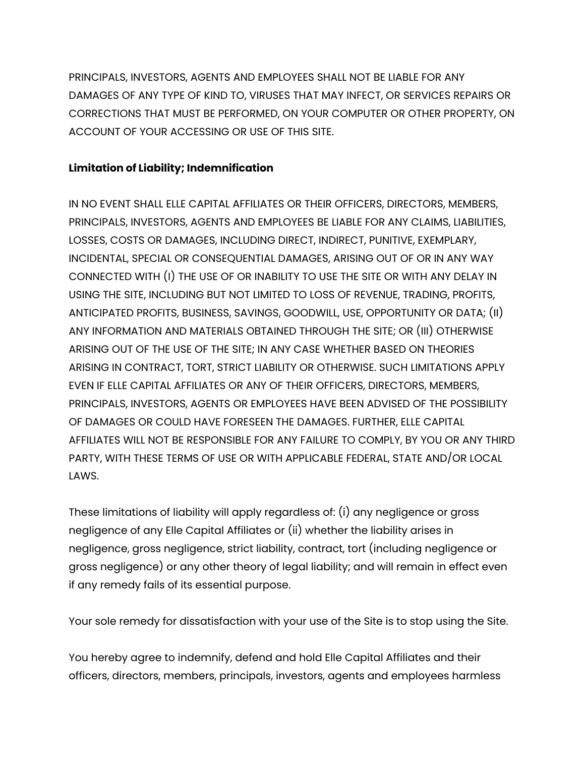PRINCIPALS, INVESTORS, AGENTS AND EMPLOYEES SHALL NOT BE LIABLE FOR ANY DAMAGES OF ANY TYPE OF KIND TO, VIRUSES THAT MAY INFECT, OR SERVICES REPAIRS OR CORRECTIONS THAT MUST BE PERFORMED, ON YOUR COMPUTER OR OTHER PROPERTY, ON ACCOUNT OF YOUR ACCESSING OR USE OF THIS SITE.

# **Limitation of Liability; Indemnification**

IN NO EVENT SHALL ELLE CAPITAL AFFILIATES OR THEIR OFFICERS, DIRECTORS, MEMBERS, PRINCIPALS, INVESTORS, AGENTS AND EMPLOYEES BE LIABLE FOR ANY CLAIMS, LIABILITIES, LOSSES, COSTS OR DAMAGES, INCLUDING DIRECT, INDIRECT, PUNITIVE, EXEMPLARY, INCIDENTAL, SPECIAL OR CONSEQUENTIAL DAMAGES, ARISING OUT OF OR IN ANY WAY CONNECTED WITH (I) THE USE OF OR INABILITY TO USE THE SITE OR WITH ANY DELAY IN USING THE SITE, INCLUDING BUT NOT LIMITED TO LOSS OF REVENUE, TRADING, PROFITS, ANTICIPATED PROFITS, BUSINESS, SAVINGS, GOODWILL, USE, OPPORTUNITY OR DATA; (II) ANY INFORMATION AND MATERIALS OBTAINED THROUGH THE SITE; OR (III) OTHERWISE ARISING OUT OF THE USE OF THE SITE; IN ANY CASE WHETHER BASED ON THEORIES ARISING IN CONTRACT, TORT, STRICT LIABILITY OR OTHERWISE. SUCH LIMITATIONS APPLY EVEN IF ELLE CAPITAL AFFILIATES OR ANY OF THEIR OFFICERS, DIRECTORS, MEMBERS, PRINCIPALS, INVESTORS, AGENTS OR EMPLOYEES HAVE BEEN ADVISED OF THE POSSIBILITY OF DAMAGES OR COULD HAVE FORESEEN THE DAMAGES. FURTHER, ELLE CAPITAL AFFILIATES WILL NOT BE RESPONSIBLE FOR ANY FAILURE TO COMPLY, BY YOU OR ANY THIRD PARTY, WITH THESE TERMS OF USE OR WITH APPLICABLE FEDERAL, STATE AND/OR LOCAL LAWS.

These limitations of liability will apply regardless of: (i) any negligence or gross negligence of any Elle Capital Affiliates or (ii) whether the liability arises in negligence, gross negligence, strict liability, contract, tort (including negligence or gross negligence) or any other theory of legal liability; and will remain in effect even if any remedy fails of its essential purpose.

Your sole remedy for dissatisfaction with your use of the Site is to stop using the Site.

You hereby agree to indemnify, defend and hold Elle Capital Affiliates and their officers, directors, members, principals, investors, agents and employees harmless